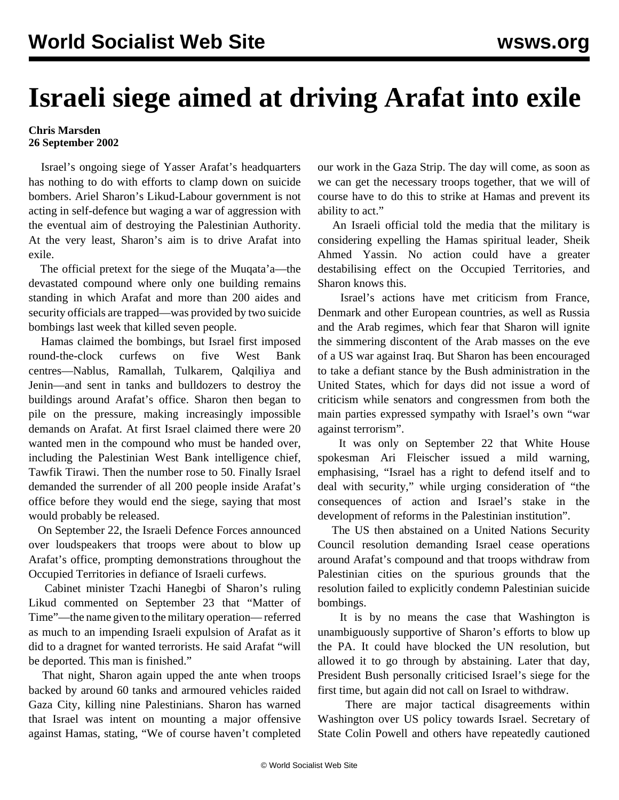## **Israeli siege aimed at driving Arafat into exile**

## **Chris Marsden 26 September 2002**

 Israel's ongoing siege of Yasser Arafat's headquarters has nothing to do with efforts to clamp down on suicide bombers. Ariel Sharon's Likud-Labour government is not acting in self-defence but waging a war of aggression with the eventual aim of destroying the Palestinian Authority. At the very least, Sharon's aim is to drive Arafat into exile.

 The official pretext for the siege of the Muqata'a—the devastated compound where only one building remains standing in which Arafat and more than 200 aides and security officials are trapped—was provided by two suicide bombings last week that killed seven people.

 Hamas claimed the bombings, but Israel first imposed round-the-clock curfews on five West Bank centres—Nablus, Ramallah, Tulkarem, Qalqiliya and Jenin—and sent in tanks and bulldozers to destroy the buildings around Arafat's office. Sharon then began to pile on the pressure, making increasingly impossible demands on Arafat. At first Israel claimed there were 20 wanted men in the compound who must be handed over, including the Palestinian West Bank intelligence chief, Tawfik Tirawi. Then the number rose to 50. Finally Israel demanded the surrender of all 200 people inside Arafat's office before they would end the siege, saying that most would probably be released.

 On September 22, the Israeli Defence Forces announced over loudspeakers that troops were about to blow up Arafat's office, prompting demonstrations throughout the Occupied Territories in defiance of Israeli curfews.

 Cabinet minister Tzachi Hanegbi of Sharon's ruling Likud commented on September 23 that "Matter of Time"—the name given to the military operation— referred as much to an impending Israeli expulsion of Arafat as it did to a dragnet for wanted terrorists. He said Arafat "will be deported. This man is finished."

 That night, Sharon again upped the ante when troops backed by around 60 tanks and armoured vehicles raided Gaza City, killing nine Palestinians. Sharon has warned that Israel was intent on mounting a major offensive against Hamas, stating, "We of course haven't completed our work in the Gaza Strip. The day will come, as soon as we can get the necessary troops together, that we will of course have to do this to strike at Hamas and prevent its ability to act."

 An Israeli official told the media that the military is considering expelling the Hamas spiritual leader, Sheik Ahmed Yassin. No action could have a greater destabilising effect on the Occupied Territories, and Sharon knows this.

 Israel's actions have met criticism from France, Denmark and other European countries, as well as Russia and the Arab regimes, which fear that Sharon will ignite the simmering discontent of the Arab masses on the eve of a US war against Iraq. But Sharon has been encouraged to take a defiant stance by the Bush administration in the United States, which for days did not issue a word of criticism while senators and congressmen from both the main parties expressed sympathy with Israel's own "war against terrorism".

 It was only on September 22 that White House spokesman Ari Fleischer issued a mild warning, emphasising, "Israel has a right to defend itself and to deal with security," while urging consideration of "the consequences of action and Israel's stake in the development of reforms in the Palestinian institution".

 The US then abstained on a United Nations Security Council resolution demanding Israel cease operations around Arafat's compound and that troops withdraw from Palestinian cities on the spurious grounds that the resolution failed to explicitly condemn Palestinian suicide bombings.

 It is by no means the case that Washington is unambiguously supportive of Sharon's efforts to blow up the PA. It could have blocked the UN resolution, but allowed it to go through by abstaining. Later that day, President Bush personally criticised Israel's siege for the first time, but again did not call on Israel to withdraw.

 There are major tactical disagreements within Washington over US policy towards Israel. Secretary of State Colin Powell and others have repeatedly cautioned